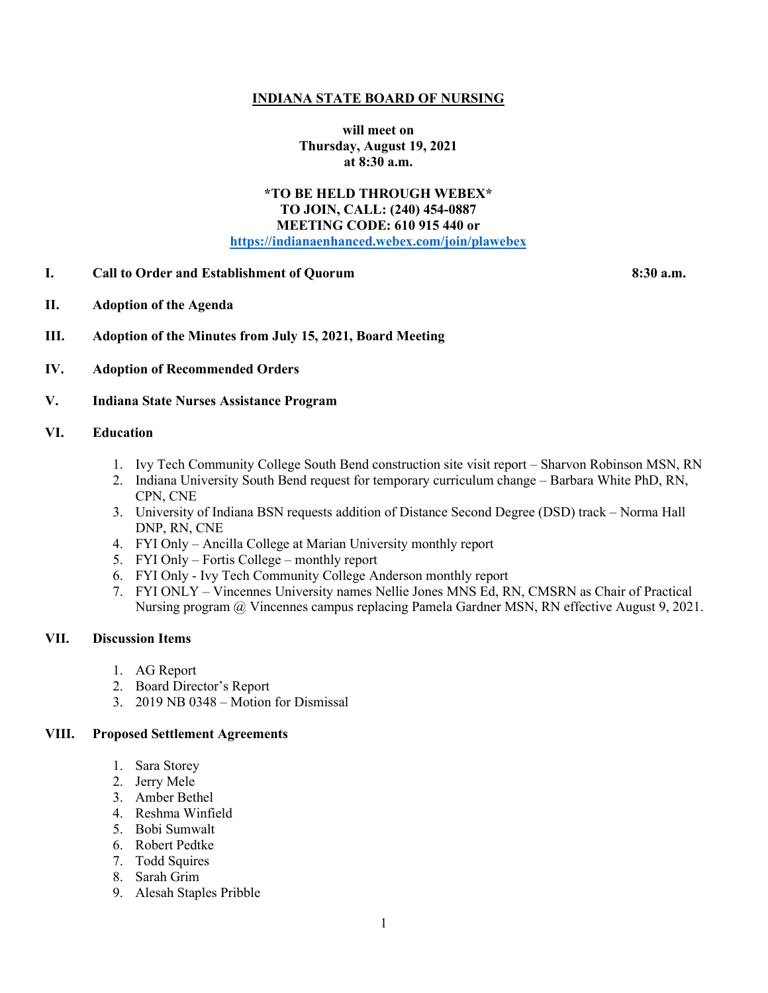## **INDIANA STATE BOARD OF NURSING**

**will meet on Thursday, August 19, 2021 at 8:30 a.m.**

## **\*TO BE HELD THROUGH WEBEX\* TO JOIN, CALL: (240) 454-0887 MEETING CODE: 610 915 440 or [https://indianaenhanced.webex.com/join/plawebex](https://indianaenhanced.webex.com/join/PLAWebex)**

**I. Call to Order and Establishment of Quorum 8:30 a.m.** 

- **II. Adoption of the Agenda**
- **III. Adoption of the Minutes from July 15, 2021, Board Meeting**
- **IV. Adoption of Recommended Orders**
- **V. Indiana State Nurses Assistance Program**

### **VI. Education**

- 1. Ivy Tech Community College South Bend construction site visit report Sharvon Robinson MSN, RN
- 2. Indiana University South Bend request for temporary curriculum change Barbara White PhD, RN, CPN, CNE
- 3. University of Indiana BSN requests addition of Distance Second Degree (DSD) track Norma Hall DNP, RN, CNE
- 4. FYI Only Ancilla College at Marian University monthly report
- 5. FYI Only Fortis College monthly report
- 6. FYI Only Ivy Tech Community College Anderson monthly report
- 7. FYI ONLY Vincennes University names Nellie Jones MNS Ed, RN, CMSRN as Chair of Practical Nursing program @ Vincennes campus replacing Pamela Gardner MSN, RN effective August 9, 2021.

#### **VII. Discussion Items**

- 1. AG Report
- 2. Board Director's Report
- 3. 2019 NB 0348 Motion for Dismissal

## **VIII. Proposed Settlement Agreements**

- 1. Sara Storey
- 2. Jerry Mele
- 3. Amber Bethel
- 4. Reshma Winfield
- 5. Bobi Sumwalt
- 6. Robert Pedtke
- 7. Todd Squires
- 8. Sarah Grim
- 9. Alesah Staples Pribble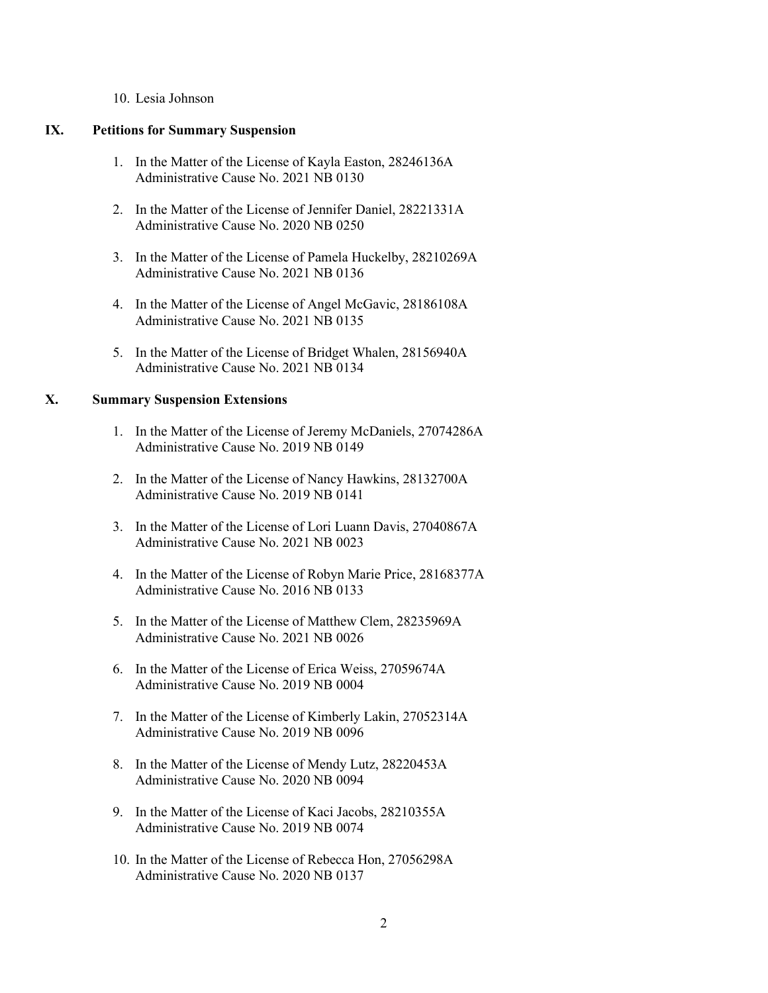#### 10. Lesia Johnson

#### **IX. Petitions for Summary Suspension**

- 1. In the Matter of the License of Kayla Easton, 28246136A Administrative Cause No. 2021 NB 0130
- 2. In the Matter of the License of Jennifer Daniel, 28221331A Administrative Cause No. 2020 NB 0250
- 3. In the Matter of the License of Pamela Huckelby, 28210269A Administrative Cause No. 2021 NB 0136
- 4. In the Matter of the License of Angel McGavic, 28186108A Administrative Cause No. 2021 NB 0135
- 5. In the Matter of the License of Bridget Whalen, 28156940A Administrative Cause No. 2021 NB 0134

# **X. Summary Suspension Extensions**

- 1. In the Matter of the License of Jeremy McDaniels, 27074286A Administrative Cause No. 2019 NB 0149
- 2. In the Matter of the License of Nancy Hawkins, 28132700A Administrative Cause No. 2019 NB 0141
- 3. In the Matter of the License of Lori Luann Davis, 27040867A Administrative Cause No. 2021 NB 0023
- 4. In the Matter of the License of Robyn Marie Price, 28168377A Administrative Cause No. 2016 NB 0133
- 5. In the Matter of the License of Matthew Clem, 28235969A Administrative Cause No. 2021 NB 0026
- 6. In the Matter of the License of Erica Weiss, 27059674A Administrative Cause No. 2019 NB 0004
- 7. In the Matter of the License of Kimberly Lakin, 27052314A Administrative Cause No. 2019 NB 0096
- 8. In the Matter of the License of Mendy Lutz, 28220453A Administrative Cause No. 2020 NB 0094
- 9. In the Matter of the License of Kaci Jacobs, 28210355A Administrative Cause No. 2019 NB 0074
- 10. In the Matter of the License of Rebecca Hon, 27056298A Administrative Cause No. 2020 NB 0137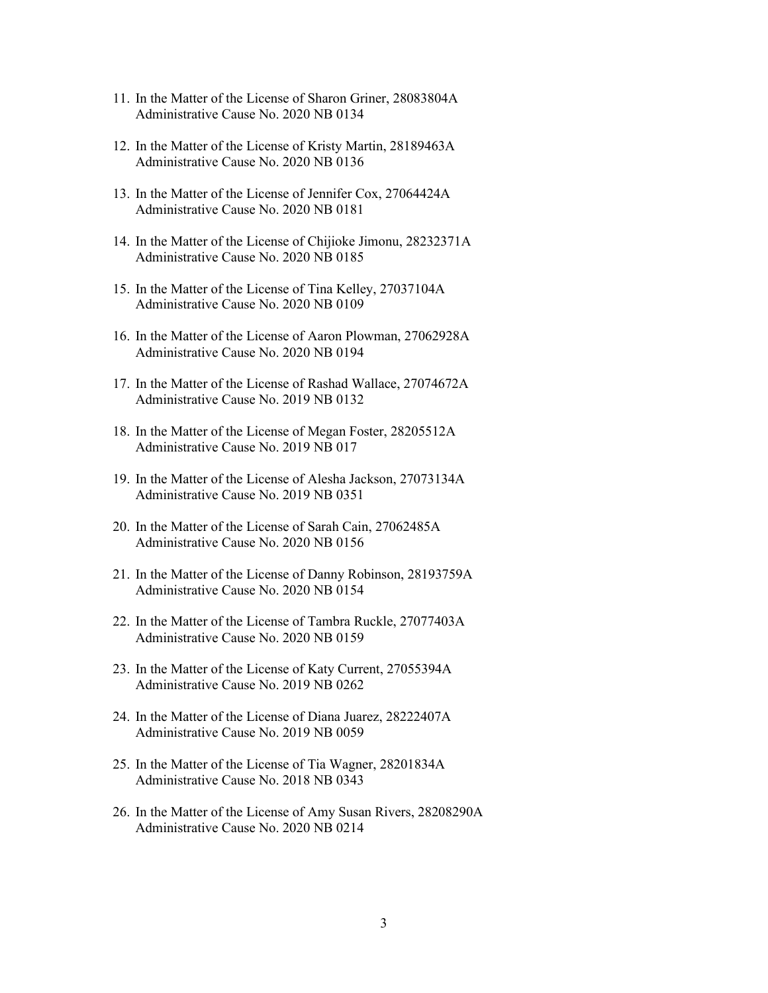- 11. In the Matter of the License of Sharon Griner, 28083804A Administrative Cause No. 2020 NB 0134
- 12. In the Matter of the License of Kristy Martin, 28189463A Administrative Cause No. 2020 NB 0136
- 13. In the Matter of the License of Jennifer Cox, 27064424A Administrative Cause No. 2020 NB 0181
- 14. In the Matter of the License of Chijioke Jimonu, 28232371A Administrative Cause No. 2020 NB 0185
- 15. In the Matter of the License of Tina Kelley, 27037104A Administrative Cause No. 2020 NB 0109
- 16. In the Matter of the License of Aaron Plowman, 27062928A Administrative Cause No. 2020 NB 0194
- 17. In the Matter of the License of Rashad Wallace, 27074672A Administrative Cause No. 2019 NB 0132
- 18. In the Matter of the License of Megan Foster, 28205512A Administrative Cause No. 2019 NB 017
- 19. In the Matter of the License of Alesha Jackson, 27073134A Administrative Cause No. 2019 NB 0351
- 20. In the Matter of the License of Sarah Cain, 27062485A Administrative Cause No. 2020 NB 0156
- 21. In the Matter of the License of Danny Robinson, 28193759A Administrative Cause No. 2020 NB 0154
- 22. In the Matter of the License of Tambra Ruckle, 27077403A Administrative Cause No. 2020 NB 0159
- 23. In the Matter of the License of Katy Current, 27055394A Administrative Cause No. 2019 NB 0262
- 24. In the Matter of the License of Diana Juarez, 28222407A Administrative Cause No. 2019 NB 0059
- 25. In the Matter of the License of Tia Wagner, 28201834A Administrative Cause No. 2018 NB 0343
- 26. In the Matter of the License of Amy Susan Rivers, 28208290A Administrative Cause No. 2020 NB 0214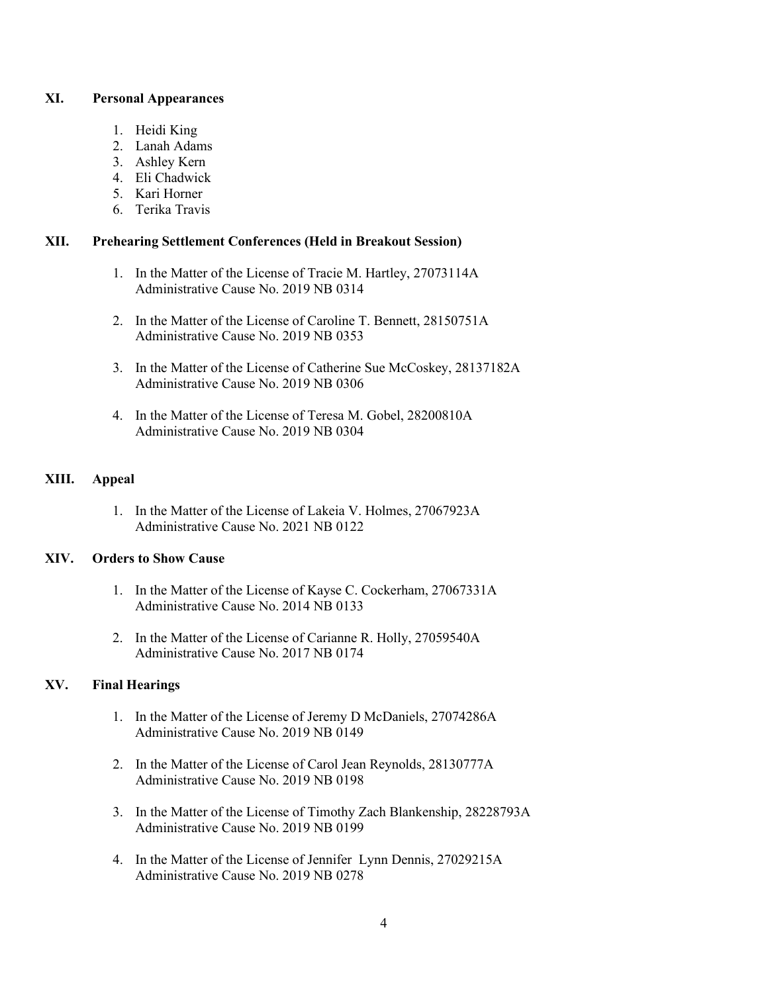## **XI. Personal Appearances**

- 1. Heidi King
- 2. Lanah Adams
- 3. Ashley Kern
- 4. Eli Chadwick
- 5. Kari Horner
- 6. Terika Travis

## **XII. Prehearing Settlement Conferences (Held in Breakout Session)**

- 1. In the Matter of the License of Tracie M. Hartley, 27073114A Administrative Cause No. 2019 NB 0314
- 2. In the Matter of the License of Caroline T. Bennett, 28150751A Administrative Cause No. 2019 NB 0353
- 3. In the Matter of the License of Catherine Sue McCoskey, 28137182A Administrative Cause No. 2019 NB 0306
- 4. In the Matter of the License of Teresa M. Gobel, 28200810A Administrative Cause No. 2019 NB 0304

# **XIII. Appeal**

1. In the Matter of the License of Lakeia V. Holmes, 27067923A Administrative Cause No. 2021 NB 0122

# **XIV. Orders to Show Cause**

- 1. In the Matter of the License of Kayse C. Cockerham, 27067331A Administrative Cause No. 2014 NB 0133
- 2. In the Matter of the License of Carianne R. Holly, 27059540A Administrative Cause No. 2017 NB 0174

# **XV. Final Hearings**

- 1. In the Matter of the License of Jeremy D McDaniels, 27074286A Administrative Cause No. 2019 NB 0149
- 2. In the Matter of the License of Carol Jean Reynolds, 28130777A Administrative Cause No. 2019 NB 0198
- 3. In the Matter of the License of Timothy Zach Blankenship, 28228793A Administrative Cause No. 2019 NB 0199
- 4. In the Matter of the License of Jennifer Lynn Dennis, 27029215A Administrative Cause No. 2019 NB 0278